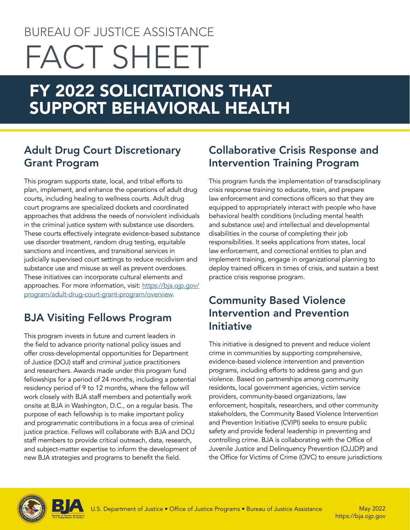# BUREAU OF JUSTICE ASSISTANCE FACT SHEET

# FY 2022 SOLICITATIONS THAT SUPPORT BEHAVIORAL HEALTH

## Adult Drug Court Discretionary Grant Program

This program supports state, local, and tribal efforts to plan, implement, and enhance the operations of adult drug courts, including healing to wellness courts. Adult drug court programs are specialized dockets and coordinated approaches that address the needs of nonviolent individuals in the criminal justice system with substance use disorders. These courts effectively integrate evidence-based substance use disorder treatment, random drug testing, equitable sanctions and incentives, and transitional services in judicially supervised court settings to reduce recidivism and substance use and misuse as well as prevent overdoses. These initiatives can incorporate cultural elements and approaches. For more information, visit: [https://bja.ojp.gov/](https://bja.ojp.gov/program/adult-drug-court-grant-program/overview) [program/adult-drug-court-grant-program/overview.](https://bja.ojp.gov/program/adult-drug-court-grant-program/overview)

# BJA Visiting Fellows Program

This program invests in future and current leaders in the field to advance priority national policy issues and offer cross-developmental opportunities for Department of Justice (DOJ) staff and criminal justice practitioners and researchers. Awards made under this program fund fellowships for a period of 24 months, including a potential residency period of 9 to 12 months, where the fellow will work closely with BJA staff members and potentially work onsite at BJA in Washington, D.C., on a regular basis. The purpose of each fellowship is to make important policy and programmatic contributions in a focus area of criminal justice practice. Fellows will collaborate with BJA and DOJ staff members to provide critical outreach, data, research, and subject-matter expertise to inform the development of new BJA strategies and programs to benefit the field.

## Collaborative Crisis Response and Intervention Training Program

This program funds the implementation of transdisciplinary crisis response training to educate, train, and prepare law enforcement and corrections officers so that they are equipped to appropriately interact with people who have behavioral health conditions (including mental health and substance use) and intellectual and developmental disabilities in the course of completing their job responsibilities. It seeks applications from states, local law enforcement, and correctional entities to plan and implement training, engage in organizational planning to deploy trained officers in times of crisis, and sustain a best practice crisis response program.

#### Community Based Violence Intervention and Prevention Initiative

This initiative is designed to prevent and reduce violent crime in communities by supporting comprehensive, evidence-based violence intervention and prevention programs, including efforts to address gang and gun violence. Based on partnerships among community residents, local government agencies, victim service providers, community-based organizations, law enforcement, hospitals, researchers, and other community stakeholders, the Community Based Violence Intervention and Prevention Initiative (CVIPI) seeks to ensure public safety and provide federal leadership in preventing and controlling crime. BJA is collaborating with the Office of Juvenile Justice and Delinquency Prevention (OJJDP) and the Office for Victims of Crime (OVC) to ensure jurisdictions



<https://bja.ojp.gov>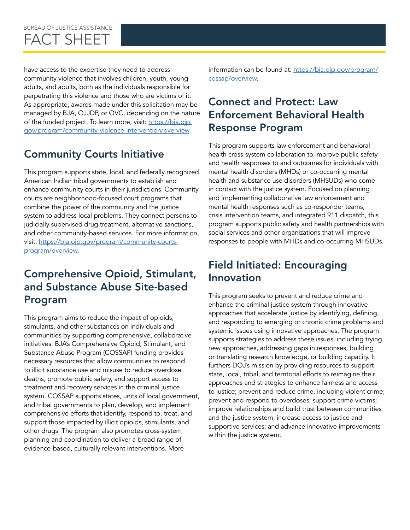#### BUREAU OF JUSTICE ASSISTANCE FACT SHEET

have access to the expertise they need to address community violence that involves children, youth, young adults, and adults, both as the individuals responsible for perpetrating this violence and those who are victims of it. As appropriate, awards made under this solicitation may be managed by BJA, OJJDP, or OVC, depending on the nature of the funded project. To learn more, visit: [https://bja.ojp.](https://bja.ojp.gov/program/community-violence-intervention/overview) [gov/program/community-violence-intervention/overview.](https://bja.ojp.gov/program/community-violence-intervention/overview)

# Community Courts Initiative

This program supports state, local, and federally recognized American Indian tribal governments to establish and enhance community courts in their jurisdictions. Community courts are neighborhood-focused court programs that combine the power of the community and the justice system to address local problems. They connect persons to judicially supervised drug treatment, alternative sanctions, and other community-based services. For more information, visit: [https://bja.ojp.gov/program/community-courts](https://bja.ojp.gov/program/community-courts-program/overview)[program/overview](https://bja.ojp.gov/program/community-courts-program/overview).

#### Comprehensive Opioid, Stimulant, and Substance Abuse Site-based Program

This program aims to reduce the impact of opioids, stimulants, and other substances on individuals and communities by supporting comprehensive, collaborative initiatives. BJA's Comprehensive Opioid, Stimulant, and Substance Abuse Program (COSSAP) funding provides necessary resources that allow communities to respond to illicit substance use and misuse to reduce overdose deaths, promote public safety, and support access to treatment and recovery services in the criminal justice system. COSSAP supports states, units of local government, and tribal governments to plan, develop, and implement comprehensive efforts that identify, respond to, treat, and support those impacted by illicit opioids, stimulants, and other drugs. The program also promotes cross-system planning and coordination to deliver a broad range of evidence-based, culturally relevant interventions. More

information can be found at: [https://bja.ojp.gov/program/](https://bja.ojp.gov/program/cossap/overview) [cossap/overview](https://bja.ojp.gov/program/cossap/overview).

#### Connect and Protect: Law Enforcement Behavioral Health Response Program

This program supports law enforcement and behavioral health cross-system collaboration to improve public safety and health responses to and outcomes for individuals with mental health disorders (MHDs) or co-occurring mental health and substance use disorders (MHSUDs) who come in contact with the justice system. Focused on planning and implementing collaborative law enforcement and mental health responses such as co-responder teams, crisis intervention teams, and integrated 911 dispatch, this program supports public safety and health partnerships with social services and other organizations that will improve responses to people with MHDs and co-occurring MHSUDs.

#### Field Initiated: Encouraging Innovation

This program seeks to prevent and reduce crime and enhance the criminal justice system through innovative approaches that accelerate justice by identifying, defining, and responding to emerging or chronic crime problems and systemic issues using innovative approaches. The program supports strategies to address these issues, including trying new approaches, addressing gaps in responses, building or translating research knowledge, or building capacity. It furthers DOJ's mission by providing resources to support state, local, tribal, and territorial efforts to reimagine their approaches and strategies to enhance fairness and access to justice; prevent and reduce crime, including violent crime; prevent and respond to overdoses; support crime victims; improve relationships and build trust between communities and the justice system; increase access to justice and supportive services; and advance innovative improvements within the justice system.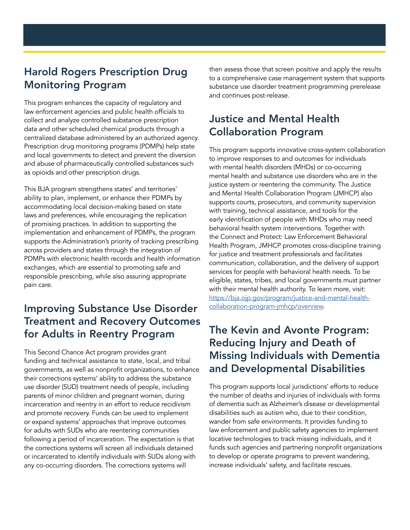#### Harold Rogers Prescription Drug Monitoring Program

This program enhances the capacity of regulatory and law enforcement agencies and public health officials to collect and analyze controlled substance prescription data and other scheduled chemical products through a centralized database administered by an authorized agency. Prescription drug monitoring programs (PDMPs) help state and local governments to detect and prevent the diversion and abuse of pharmaceutically controlled substances such as opioids and other prescription drugs.

This BJA program strengthens states' and territories' ability to plan, implement, or enhance their PDMPs by accommodating local decision-making based on state laws and preferences, while encouraging the replication of promising practices. In addition to supporting the implementation and enhancement of PDMPs, the program supports the Administration's priority of tracking prescribing across providers and states through the integration of PDMPs with electronic health records and health information exchanges, which are essential to promoting safe and responsible prescribing, while also assuring appropriate pain care.

#### Improving Substance Use Disorder Treatment and Recovery Outcomes for Adults in Reentry Program

This Second Chance Act program provides grant funding and technical assistance to state, local, and tribal governments, as well as nonprofit organizations, to enhance their corrections systems' ability to address the substance use disorder (SUD) treatment needs of people, including parents of minor children and pregnant women, during incarceration and reentry in an effort to reduce recidivism and promote recovery. Funds can be used to implement or expand systems' approaches that improve outcomes for adults with SUDs who are reentering communities following a period of incarceration. The expectation is that the corrections systems will screen all individuals detained or incarcerated to identify individuals with SUDs along with any co-occurring disorders. The corrections systems will

then assess those that screen positive and apply the results to a comprehensive case management system that supports substance use disorder treatment programming prerelease and continues post-release.

#### Justice and Mental Health Collaboration Program

This program supports innovative cross-system collaboration to improve responses to and outcomes for individuals with mental health disorders (MHDs) or co-occurring mental health and substance use disorders who are in the justice system or reentering the community. The Justice and Mental Health Collaboration Program (JMHCP) also supports courts, prosecutors, and community supervision with training, technical assistance, and tools for the early identification of people with MHDs who may need behavioral health system interventions. Together with the Connect and Protect: Law Enforcement Behavioral Health Program, JMHCP promotes cross-discipline training for justice and treatment professionals and facilitates communication, collaboration, and the delivery of support services for people with behavioral health needs. To be eligible, states, tribes, and local governments must partner with their mental health authority. To learn more, visit: [https://bja.ojp.gov/program/justice-and-mental-health](https://bja.ojp.gov/program/justice-and-mental-health-collaboration-program-jmhcp/overview)[collaboration-program-jmhcp/overview.](https://bja.ojp.gov/program/justice-and-mental-health-collaboration-program-jmhcp/overview)

#### The Kevin and Avonte Program: Reducing Injury and Death of Missing Individuals with Dementia and Developmental Disabilities

This program supports local jurisdictions' efforts to reduce the number of deaths and injuries of individuals with forms of dementia such as Alzheimer's disease or developmental disabilities such as autism who, due to their condition, wander from safe environments. It provides funding to law enforcement and public safety agencies to implement locative technologies to track missing individuals, and it funds such agencies and partnering nonprofit organizations to develop or operate programs to prevent wandering, increase individuals' safety, and facilitate rescues.